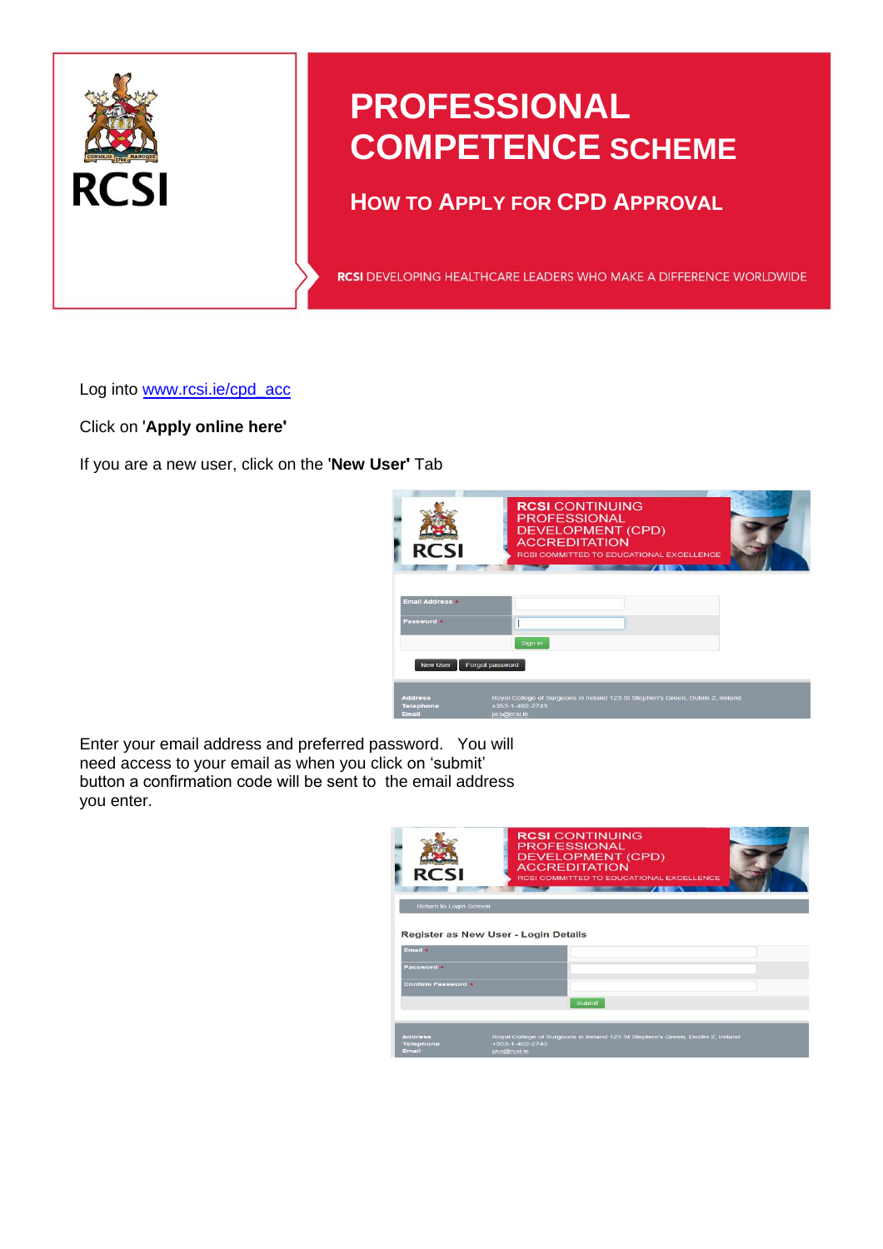

# **PROFESSIONAL COMPETENCE SCHEME**

# **HOW TO APPLY FOR CPD APPROVAL**

RCSI DEVELOPING HEALTHCARE LEADERS WHO MAKE A DIFFERENCE WORLDWIDE

Log into www.rcsi.ie/cpd\_acc

Click on '**Apply online here'**

If you are a new user, click on the '**New User'** Tab



Enter your email address and preferred password. You will need access to your email as when you click on 'submit' button a confirmation code will be sent to the email address you enter.

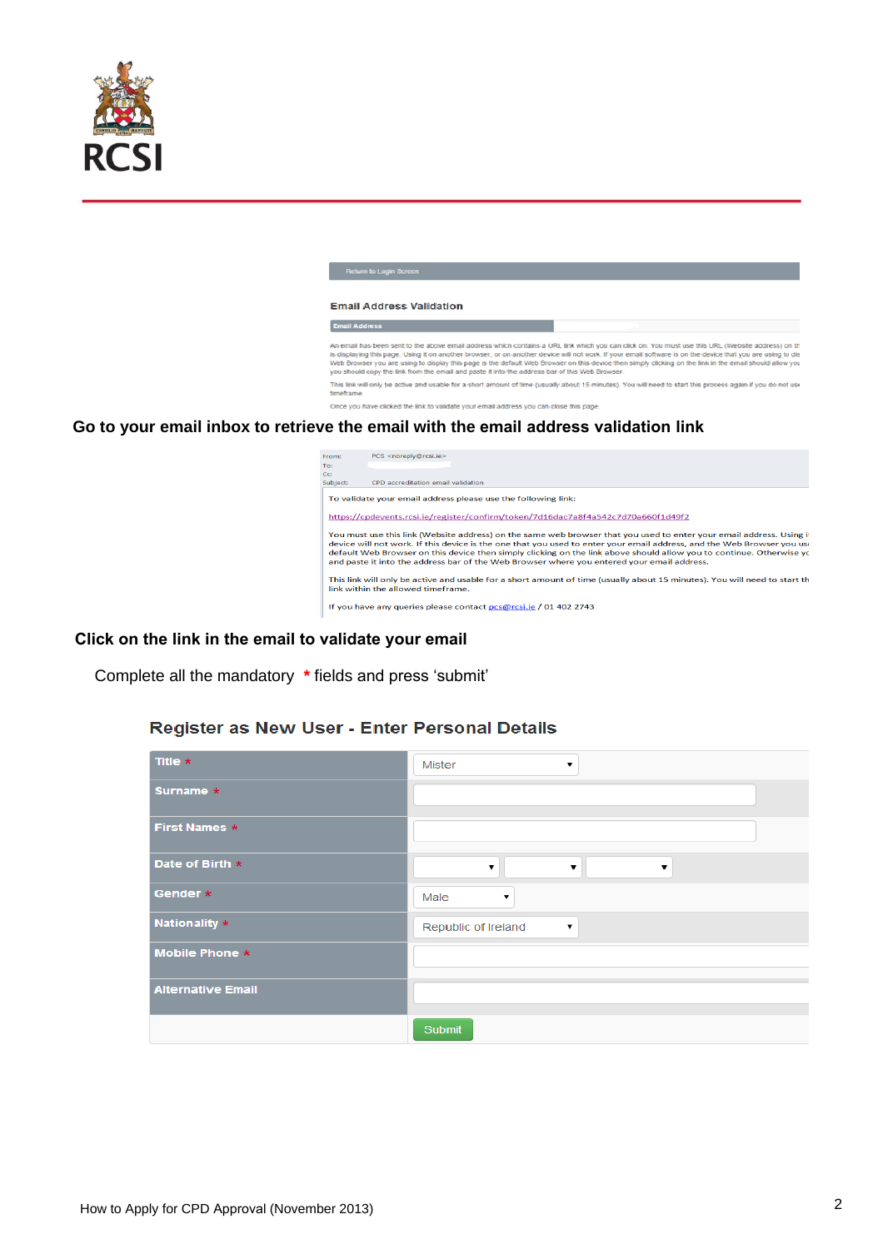

| Return to Login Screen                                                                                                                                                                                                                                                                                                                                                                                                                                                                                                                                                     |  |  |  |  |  |
|----------------------------------------------------------------------------------------------------------------------------------------------------------------------------------------------------------------------------------------------------------------------------------------------------------------------------------------------------------------------------------------------------------------------------------------------------------------------------------------------------------------------------------------------------------------------------|--|--|--|--|--|
|                                                                                                                                                                                                                                                                                                                                                                                                                                                                                                                                                                            |  |  |  |  |  |
| <b>Email Address Validation</b>                                                                                                                                                                                                                                                                                                                                                                                                                                                                                                                                            |  |  |  |  |  |
| <b>Email Address</b>                                                                                                                                                                                                                                                                                                                                                                                                                                                                                                                                                       |  |  |  |  |  |
| An email has been sent to the above email address which contains a URL link which you can click on. You must use this URL (Website address) on t<br>is displaying this page. Using it on another browser, or on another device will not work. If your email software is on the device that you are using to di<br>Web Browser you are using to display this page is the default Web Browser on this device then simply clicking on the link in the email should allow yo<br>you should copy the link from the email and paste it into the address bar of this Web Browser. |  |  |  |  |  |
| This link will only be active and usable for a short amount of time (usually about 15 minutes). You will need to start this process again if you do not us<br>timeframe.                                                                                                                                                                                                                                                                                                                                                                                                   |  |  |  |  |  |
| Once you have clicked the link to validate your email address you can close this page.                                                                                                                                                                                                                                                                                                                                                                                                                                                                                     |  |  |  |  |  |
|                                                                                                                                                                                                                                                                                                                                                                                                                                                                                                                                                                            |  |  |  |  |  |

#### **Go to your email inbox to retrieve the email with the email address validation link**

| rom:<br>To:                                                                                                                                                                                                                                                                                                                                                                                                                                                          | PCS <noreply@rcsi.ie></noreply@rcsi.ie>                                           |  |  |  |  |  |  |  |  |
|----------------------------------------------------------------------------------------------------------------------------------------------------------------------------------------------------------------------------------------------------------------------------------------------------------------------------------------------------------------------------------------------------------------------------------------------------------------------|-----------------------------------------------------------------------------------|--|--|--|--|--|--|--|--|
| CC:<br>subject:                                                                                                                                                                                                                                                                                                                                                                                                                                                      | CPD accreditation email validation                                                |  |  |  |  |  |  |  |  |
| To validate your email address please use the following link:                                                                                                                                                                                                                                                                                                                                                                                                        |                                                                                   |  |  |  |  |  |  |  |  |
|                                                                                                                                                                                                                                                                                                                                                                                                                                                                      | https://cpdevents.rcsi.ie/register/confirm/token/7d16dac7a8f4a542c7d70a660f1d49f2 |  |  |  |  |  |  |  |  |
| You must use this link (Website address) on the same web browser that you used to enter your email address. Using it<br>device will not work. If this device is the one that you used to enter your email address, and the Web Browser you use<br>default Web Browser on this device then simply clicking on the link above should allow you to continue. Otherwise yo<br>and paste it into the address bar of the Web Browser where you entered your email address. |                                                                                   |  |  |  |  |  |  |  |  |
| This link will only be active and usable for a short amount of time (usually about 15 minutes). You will need to start the<br>link within the allowed timeframe.                                                                                                                                                                                                                                                                                                     |                                                                                   |  |  |  |  |  |  |  |  |
|                                                                                                                                                                                                                                                                                                                                                                                                                                                                      | If you have any queries please contact pcs@rcsi.ie / 01 402 2743                  |  |  |  |  |  |  |  |  |

#### **Click on the link in the email to validate your email**

Complete all the mandatory **\*** fields and press 'submit'

### Register as New User - Enter Personal Details

| Title $\star$            | <b>Mister</b><br>▼         |
|--------------------------|----------------------------|
| Surname *                |                            |
| <b>First Names *</b>     |                            |
| Date of Birth *          | $\pmb{\mathrm{v}}$<br>▼    |
| Gender *                 | Male<br>$\pmb{\mathrm{v}}$ |
| Nationality *            | Republic of Ireland<br>▼   |
| <b>Mobile Phone *</b>    |                            |
| <b>Alternative Email</b> |                            |
|                          | Submit                     |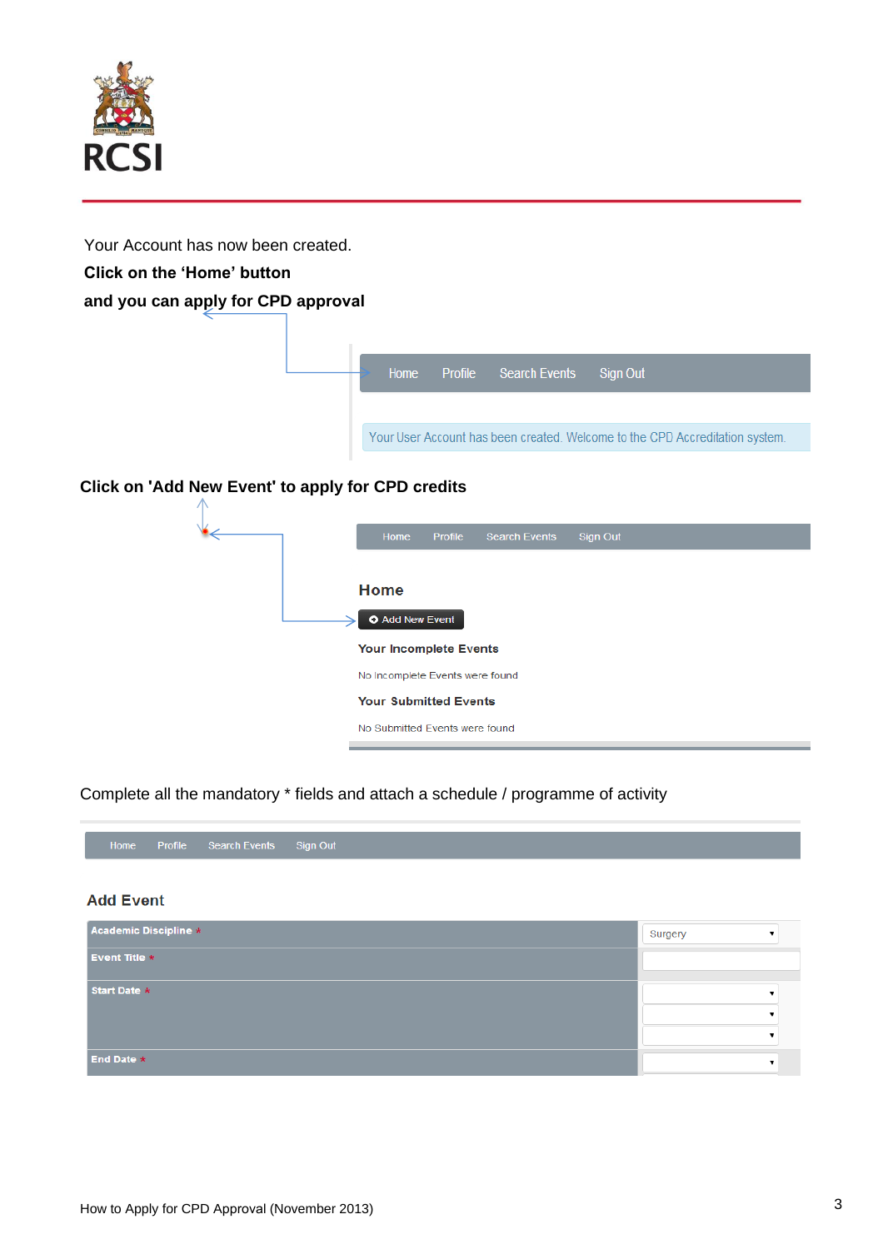

Your Account has now been created.

# **Click on the 'Home' button**

# **and you can apply for CPD approval**



# **Click on 'Add New Event' to apply for CPD credits**



## Complete all the mandatory \* fields and attach a schedule / programme of activity



#### **Add Event**